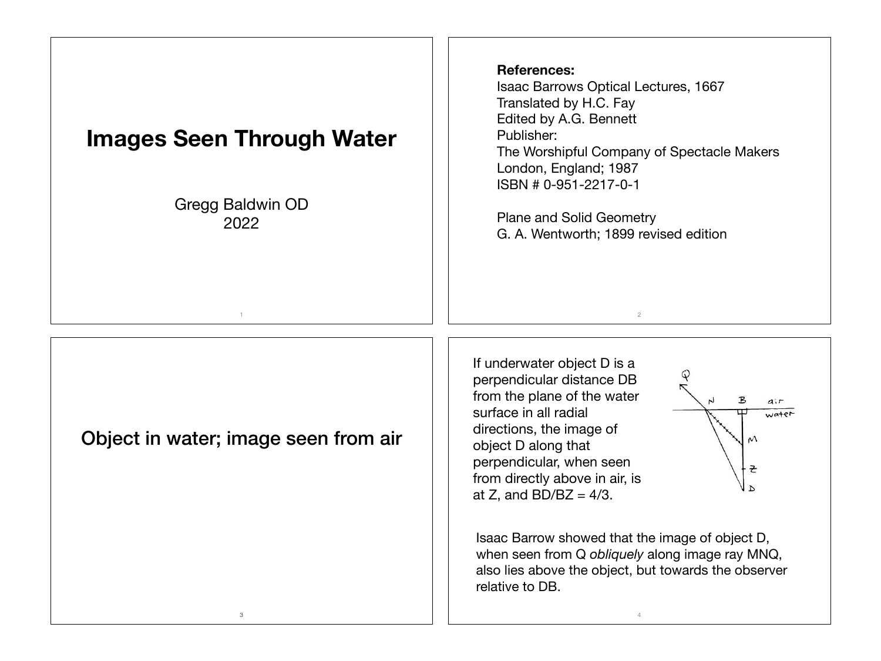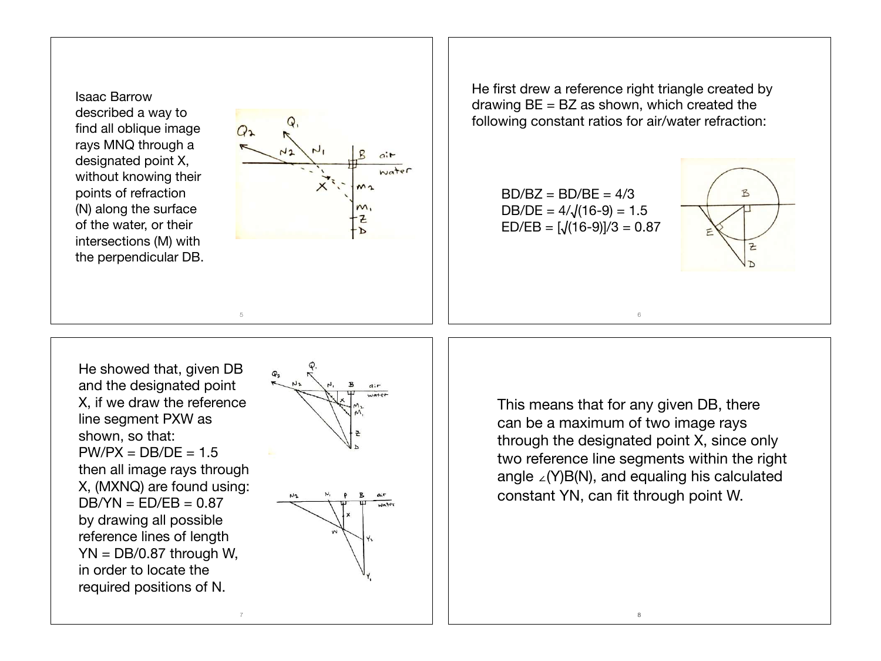Isaac Barrow described a way to find all oblique image rays MNQ through a designated point X, without knowing their points of refraction (N) along the surface of the water, or their intersections (M) with the perpendicular DB.



He first drew a reference right triangle created by drawing  $BE = BZ$  as shown, which created the following constant ratios for air/water refraction:

 $BD/BC = BD/BE = 4/3$ DB/DE =  $4/\sqrt{(16-9)} = 1.5$  $ED/EB = [\sqrt{(16-9)}]/3 = 0.87$ 



He showed that, given DB and the designated point X, if we draw the reference line segment PXW as shown, so that:  $PW/PX = DB/DE = 1.5$ then all image rays through X, (MXNQ) are found using:  $DB/YN = ED/EB = 0.87$ by drawing all possible reference lines of length  $YN = DB/0.87$  through W, in order to locate the required positions of N.



This means that for any given DB, there can be a maximum of two image rays through the designated point X, since only two reference line segments within the right angle ∠(Y)B(N), and equaling his calculated constant YN, can fit through point W.

8

6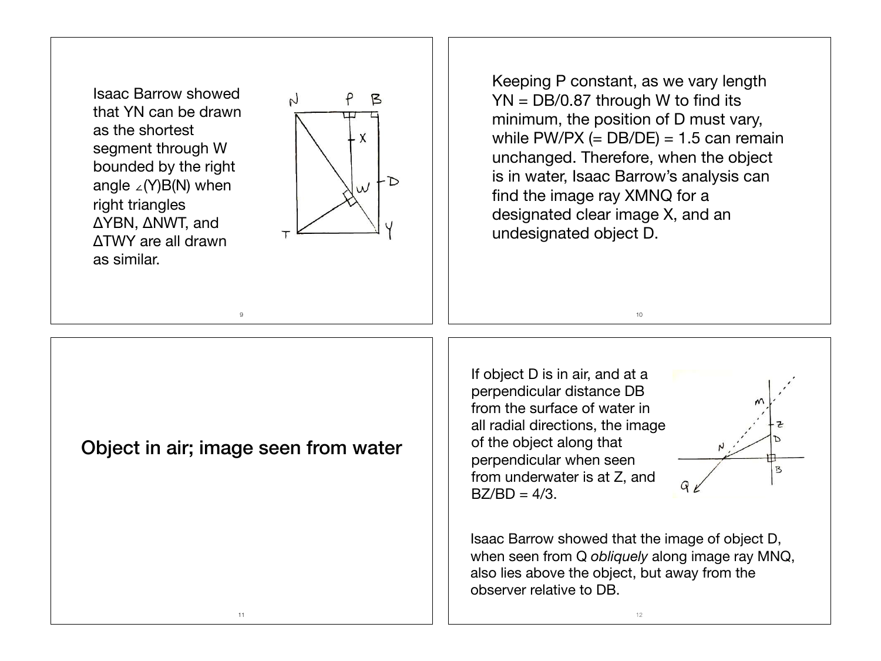Isaac Barrow showed that YN can be drawn as the shortest segment through W bounded by the right angle ∠(Y)B(N) when right triangles ΔYBN, ΔNWT, and ΔTWY are all drawn as similar.



Keeping P constant, as we vary length YN = DB/0.87 through W to find its minimum, the position of D must vary, while PW/PX  $(= DB/DE) = 1.5$  can remain unchanged. Therefore, when the object is in water, Isaac Barrow's analysis can find the image ray XMNQ for a designated clear image X, and an undesignated object D.

10

Object in air; image seen from water

9

If object D is in air, and at a perpendicular distance DB from the surface of water in all radial directions, the image of the object along that perpendicular when seen from underwater is at Z, and  $BZ/BD = 4/3$ .



Isaac Barrow showed that the image of object D, when seen from Q *obliquely* along image ray MNQ, also lies above the object, but away from the observer relative to DB.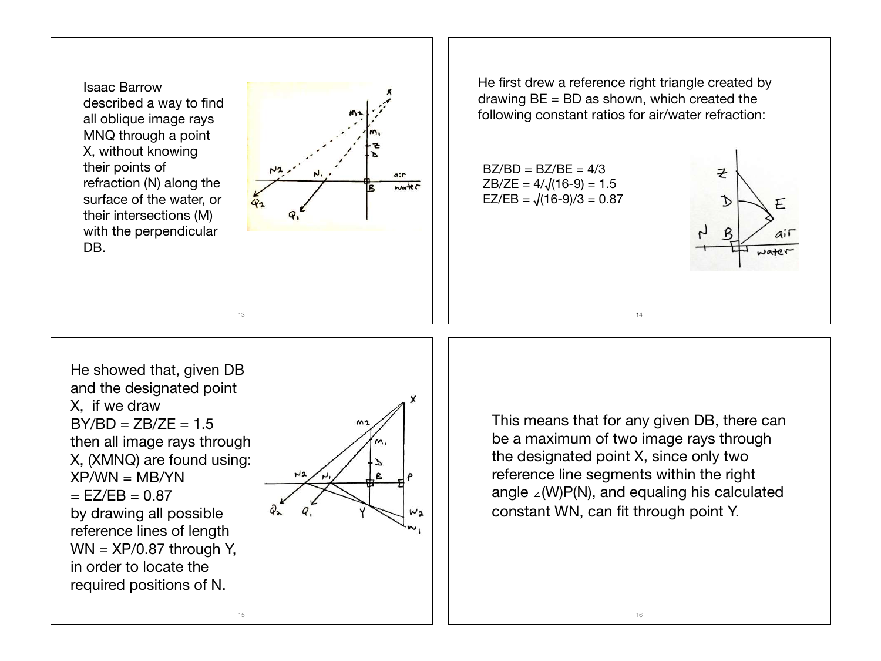Isaac Barrow described a way to find all oblique image rays MNQ through a point X, without knowing their points of refraction (N) along the surface of the water, or their intersections (M) with the perpendicular DB.



He first drew a reference right triangle created by drawing  $BE = BD$  as shown, which created the following constant ratios for air/water refraction:

 $BZ/BD = BZ/BE = 4/3$  $ZB/ZE = 4/\sqrt{(16-9)} = 1.5$  $EZ/EB = \sqrt{(16-9)/3} = 0.87$ 



He showed that, given DB and the designated point X, if we draw  $BY/BD = ZB/ZE = 1.5$ then all image rays through X, (XMNQ) are found using:  $XP/WN = MR/YN$  $=$  EZ/EB  $= 0.87$ by drawing all possible reference lines of length  $WN = XP/0.87$  through Y, in order to locate the required positions of N.



This means that for any given DB, there can be a maximum of two image rays through the designated point X, since only two reference line segments within the right angle ∠(W)P(N), and equaling his calculated constant WN, can fit through point Y.

14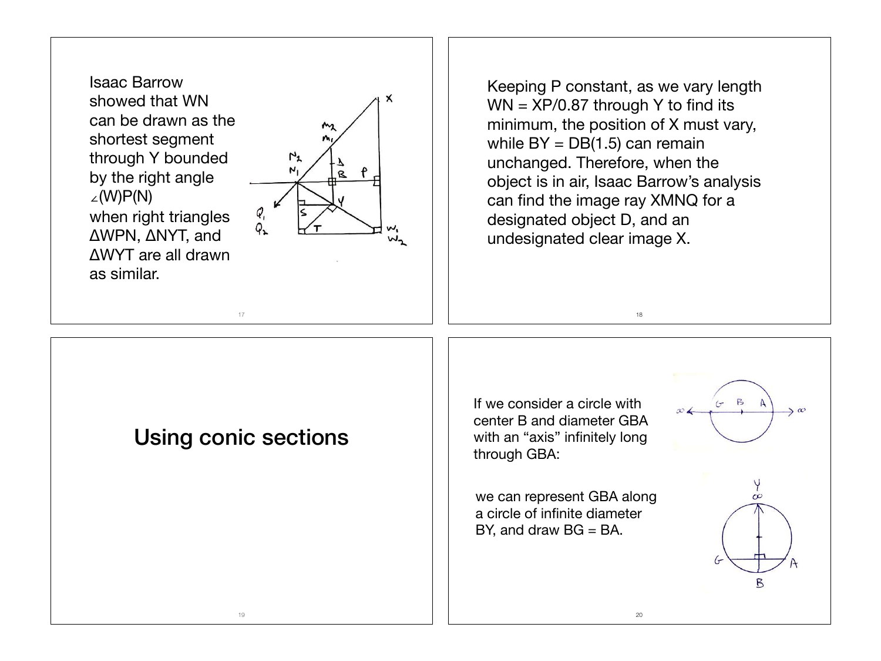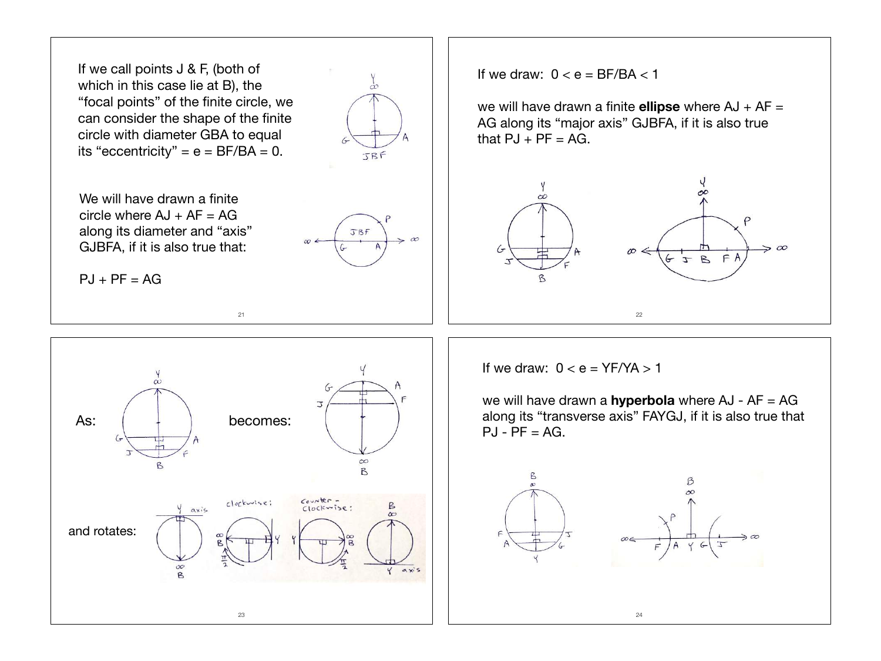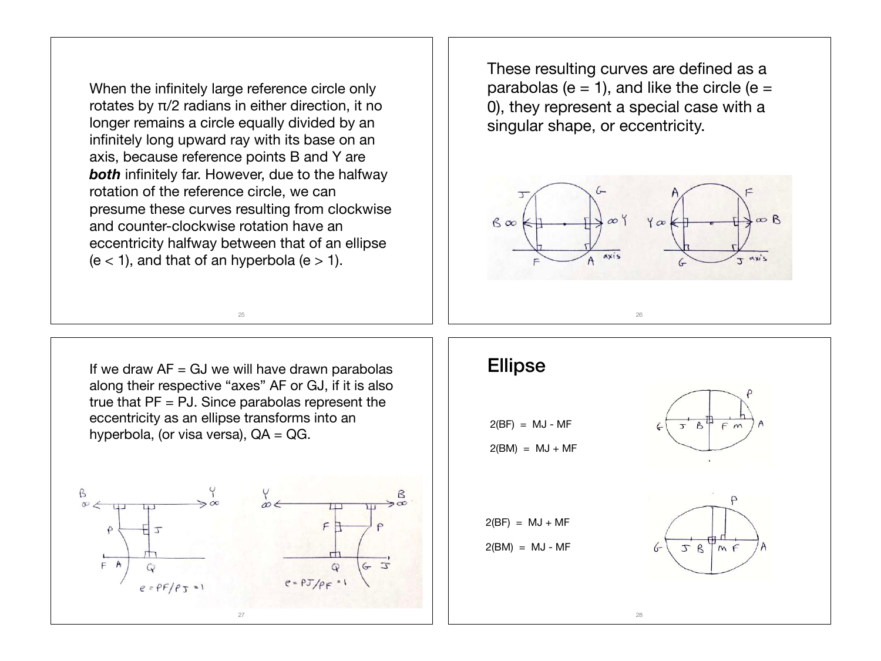When the infinitely large reference circle only rotates by π/2 radians in either direction, it no longer remains a circle equally divided by an infinitely long upward ray with its base on an axis, because reference points B and Y are **both** infinitely far. However, due to the halfway rotation of the reference circle, we can presume these curves resulting from clockwise and counter-clockwise rotation have an eccentricity halfway between that of an ellipse  $(e < 1)$ , and that of an hyperbola  $(e > 1)$ .

These resulting curves are defined as a parabolas ( $e = 1$ ), and like the circle ( $e =$ 0), they represent a special case with a singular shape, or eccentricity.



If we draw  $AF = GJ$  we will have drawn parabolas along their respective "axes" AF or GJ, if it is also true that  $PF = PJ$ . Since parabolas represent the eccentricity as an ellipse transforms into an hyperbola, (or visa versa),  $QA = QG$ .

25



## Ellipse

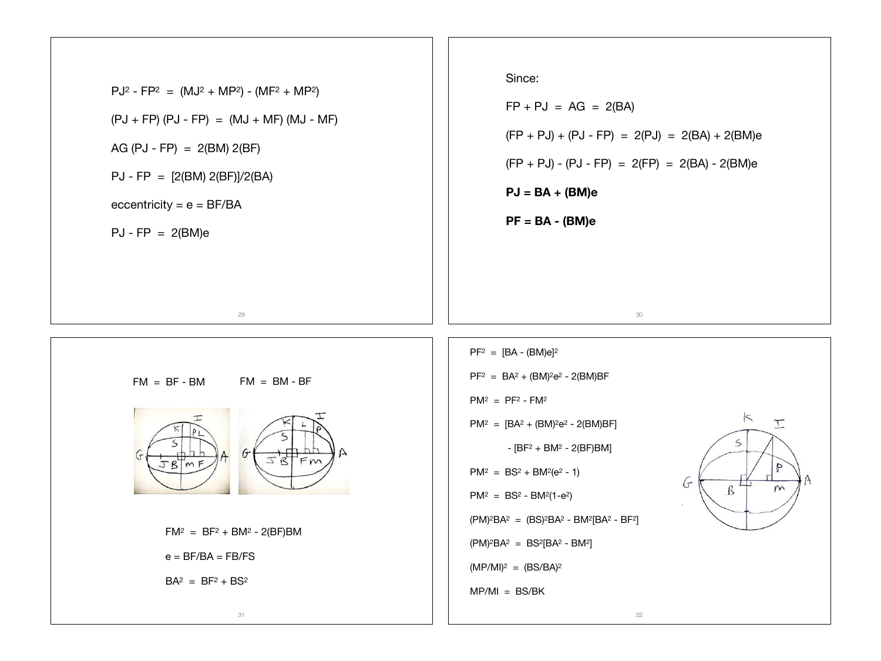PJ2 - FP2 = (MJ2 + MP2) - (MF2 + MP2) (PJ + FP) (PJ - FP) = (MJ + MF) (MJ - MF) AG (PJ - FP) = 2(BM) 2(BF) PJ - FP = [2(BM) 2(BF)]/2(BA) eccentricity = e = BF/BA PJ - FP = 2(BM)e 29 Since: FP + PJ = AG = 2(BA) (FP + PJ) + (PJ - FP) = 2(PJ) = 2(BA) + 2(BM)e (FP + PJ) - (PJ - FP) = 2(FP) = 2(BA) - 2(BM)e **PJ = BA + (BM)e PF = BA - (BM)e** 30 FM = BF - BM FM = BM - BF FM2 = BF2 + BM2 - 2(BF)BM e = BF/BA = FB/FS BA2 = BF2 + BS2 31 PF2 = [BA - (BM)e]2 PF2 = BA2 + (BM)2e2 - 2(BM)BF PM2 = PF2 - FM2 PM2 = [BA2 + (BM)2e2 - 2(BM)BF] - [BF2 + BM2 - 2(BF)BM] PM2 = BS2 + BM2(e2 - 1) PM2 = BS2 - BM2(1-e2) (PM)2BA2 = (BS)2BA2 - BM2[BA2 - BF2] (PM)2BA2 = BS2[BA2 - BM2] (MP/MI)2 = (BS/BA)2 MP/MI = BS/BK 32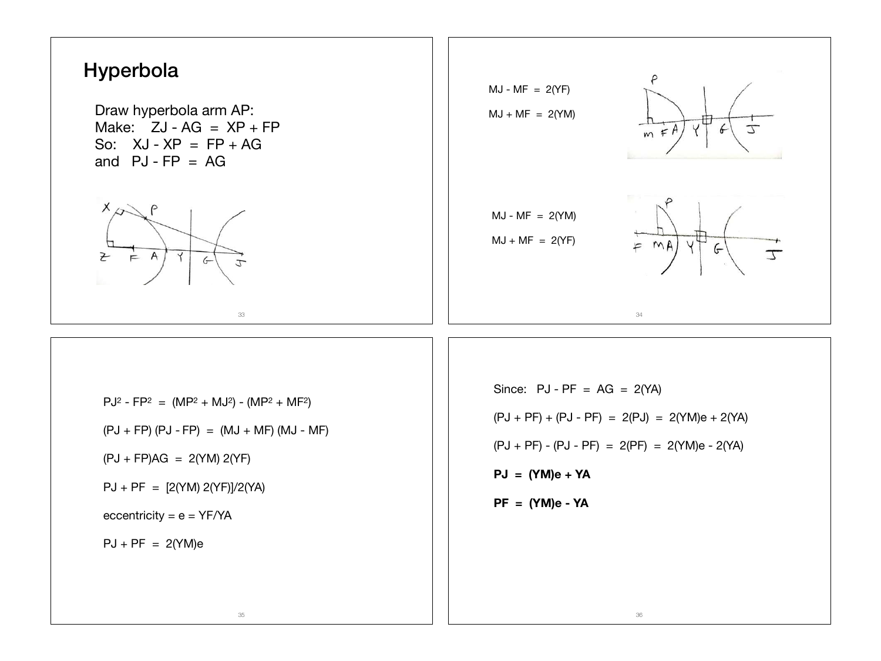

Draw hyperbola arm AP: Make:  $ZJ - AG = XP + FP$ So:  $XJ - XP = FP + AG$ and  $PJ$ - $FP = AG$ 





 $PJ^2 - FP^2 = (MP^2 + MU^2) - (MP^2 + MP^2)$  $(PJ + FP) (PJ - FP) = (MJ + MF) (MJ - MF)$  $(PJ + FP)AG = 2(YM) 2(YF)$ PJ + PF = [2(YM) 2(YF)]/2(YA) eccentricity =  $e = YF/YA$  $PJ + PF = 2(YM)e$ 

35

Since:  $PJ - PF = AG = 2(YA)$  $(PJ + PF) + (PJ - PF) = 2(PJ) = 2(YM)e + 2(YA)$  $(PJ + PF) - (PJ - PF) = 2(PF) = 2(YM)e - 2(YA)$ **PJ = (YM)e + YA PF = (YM)e - YA**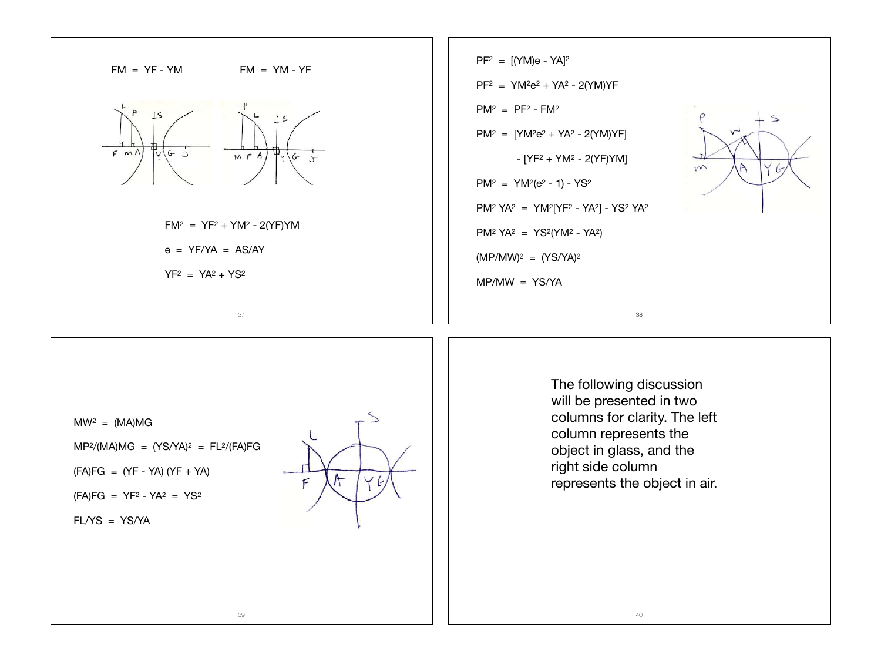

 $MW^2 = (MA)MG$ 

- $MP<sup>2</sup>/(MA)MG = (YS/YA)<sup>2</sup> = FL<sup>2</sup>/(FA)FG$
- $(FA)FG = (YF YA) (YF + YA)$
- $(FA)FG = YF^2 YA^2 = YS^2$

FL/YS = YS/YA



The following discussion will be presented in two columns for clarity. The left column represents the object in glass, and the right side column represents the object in air.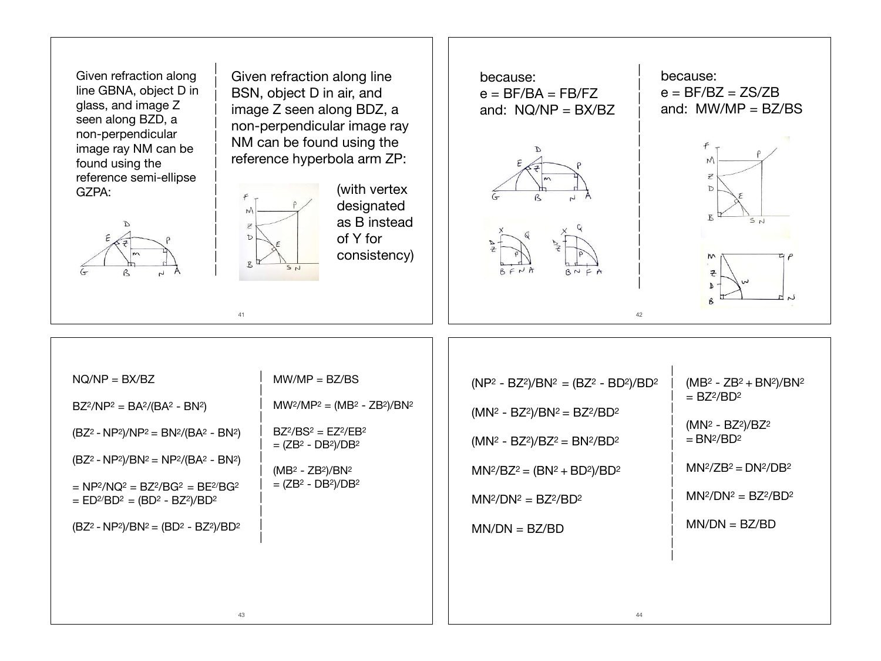Given refraction along line GBNA, object D in glass, and image Z seen along BZD, a non-perpendicular image ray NM can be found using the reference semi-ellipse GZPA:

| | | | | | | | | | | | | | | |

41

 $f$  $M$ 

> $\overline{z}$  $\mathbb D$

 $B<sup>t</sup>$ 

 $S_{N}$ 



Given refraction along line BSN, object D in air, and image Z seen along BDZ, a non-perpendicular image ray NM can be found using the reference hyperbola arm ZP:

> (with vertex designated as B instead of Y for consistency)

| because: |  $e = BF/BA = FB/FZ$ | and:  $NQ/NP = BX/BZ$ | | | **D** |

> | | | | | | | | |







| $NQ/NP = BX/BZ$<br>$BZ^2/NP^2 = BA^2/(BA^2 - BN^2)$<br>$(BZ2 - NP2)/NP2 = BN2/(BA2 - BN2)$<br>$(BZ2 - NP2)/BN2 = NP2/(BA2 - BN2)$                                     | $MW/MP = BZ/BS$<br>$MW^2/MP^2 = (MB^2 - ZB^2)/BN^2$<br>$BZ^{2}/BS^{2} = EZ^{2}/EB^{2}$<br>$= (ZB2 - DB2)/DB2$<br>$(MB2 - ZB2)/BN2$<br>$= (ZB2 - DB2)/DB2$ | $(NP2 - BZ2)/BN2 = (BZ2 - BD2)/BD2$<br>$(MN2 - BZ2)/BN2 = BZ2/BD2$<br>$(MN2 - BZ2)/BZ2 = BN2/BD2$<br>$MN^2/BC^2 = (BN^2 + BD^2)/BD^2$ | $(MB2 - ZB2 + BN2)/BN2$<br>$= BZ^2/BD^2$<br>$(MN2 - BZ2)/BZ2$<br>$= BN2/BD2$<br>$MN^2/ZB^2 = DN^2/DB^2$ |
|-----------------------------------------------------------------------------------------------------------------------------------------------------------------------|-----------------------------------------------------------------------------------------------------------------------------------------------------------|---------------------------------------------------------------------------------------------------------------------------------------|---------------------------------------------------------------------------------------------------------|
| $= NP2/NQ2 = BZ2/BG2 = BE2/BG2$<br>$=$ ED <sup>2</sup> /BD <sup>2</sup> = (BD <sup>2</sup> - BZ <sup>2</sup> )/BD <sup>2</sup><br>$(BZ2 - NP2)/BN2 = (BD2 - BZ2)/BD2$ |                                                                                                                                                           | $MN^2/DN^2 = BZ^2/BD^2$<br>$MN/DN = BZ/BD$                                                                                            | $MN^2/DN^2 = BZ^2/BD^2$<br>$MN/DN = BZ/BD$                                                              |
| 43                                                                                                                                                                    |                                                                                                                                                           | 44                                                                                                                                    |                                                                                                         |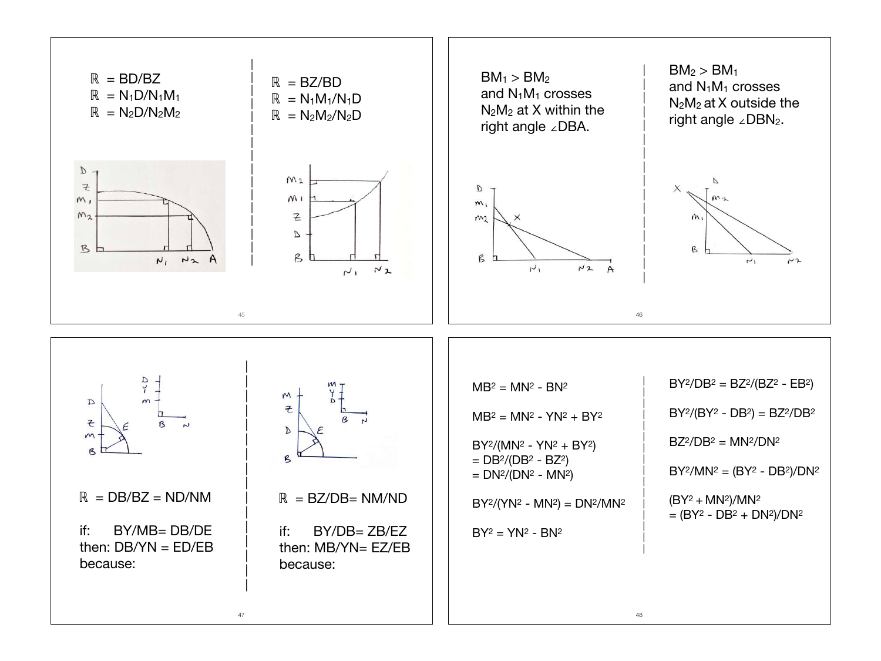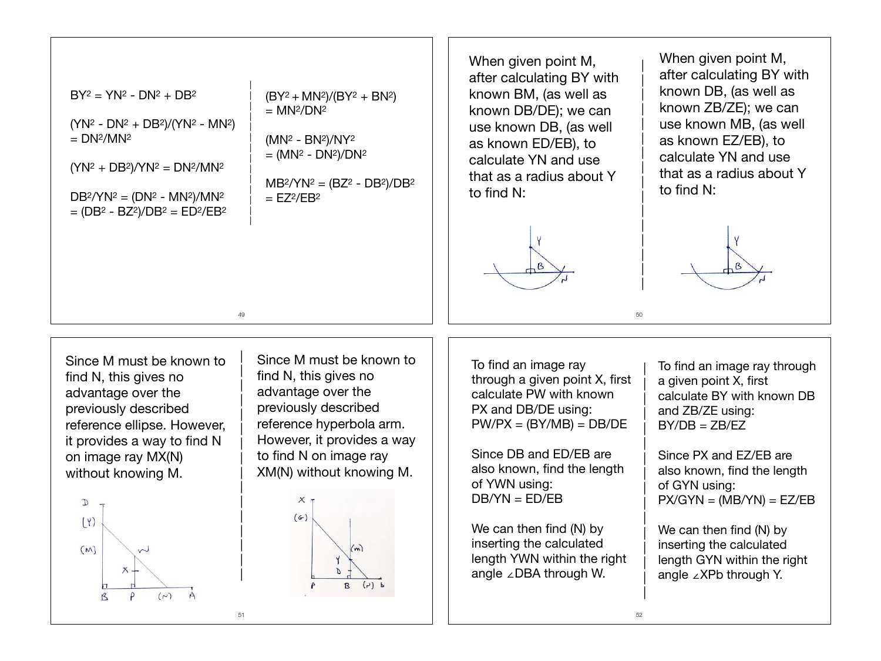$BY^2 = YN^2 - DN^2 + DB^2$ 

(YN2 - DN2 + DB2)/(YN2 - MN2)  $= DN<sup>2</sup>/MN<sup>2</sup>$ 

 $(YN<sup>2</sup> + DB<sup>2</sup>)/YN<sup>2</sup> = DN<sup>2</sup>/MN<sup>2</sup>$ 

 $DB^2/YN^2 = (DN^2 - MN^2)/MN^2$  $= (DB<sup>2</sup> - BZ<sup>2</sup>)/DB<sup>2</sup> = ED<sup>2</sup>/EB<sup>2</sup>$   $(BY^2 + MN^2)/(BY^2 + BN^2)$  $=$  MN<sup>2</sup>/DN<sup>2</sup>

(MN2 - BN2)/NY2  $=$  (MN<sup>2</sup> - DN<sup>2</sup>)/DN<sup>2</sup>

|

49

| | | | | | | | | | | | | | | |

51

 $MB^2/YN^2 = (BZ^2 - DB^2)/DB^2$  $=$  EZ<sup>2</sup>/EB<sup>2</sup>

When given point M, after calculating BY with known BM, (as well as known DB/DE); we can use known DB, (as well as known ED/EB), to calculate YN and use that as a radius about Y to find N:



When given point M, after calculating BY with known DB, (as well as known ZB/ZE); we can use known MB, (as well as known EZ/EB), to calculate YN and use that as a radius about Y to find N:

| | | | | | | | | | | | | | | |

50

| | | | | | | | | | | | | | | |



Since M must be known to find N, this gives no advantage over the previously described reference ellipse. However, it provides a way to find N on image ray MX(N) without knowing M.



Since M must be known to find N, this gives no advantage over the previously described reference hyperbola arm. However, it provides a way to find N on image ray XM(N) without knowing M.



To find an image ray through a given point X, first calculate PW with known PX and DB/DE using:  $PW/PX = (BY/MB) = DB/DE$ 

Since DB and ED/EB are also known, find the length of YWN using: DB/YN = ED/EB

We can then find (N) by inserting the calculated length YWN within the right angle ∠DBA through W.

To find an image ray through a given point X, first calculate BY with known DB and ZB/ZE using:  $BY/DB = ZB/EZ$ 

Since PX and EZ/EB are also known, find the length of GYN using:  $PX/GYN = (MB/YN) = EZ/EB$ 

We can then find (N) by inserting the calculated length GYN within the right angle ∠XPb through Y.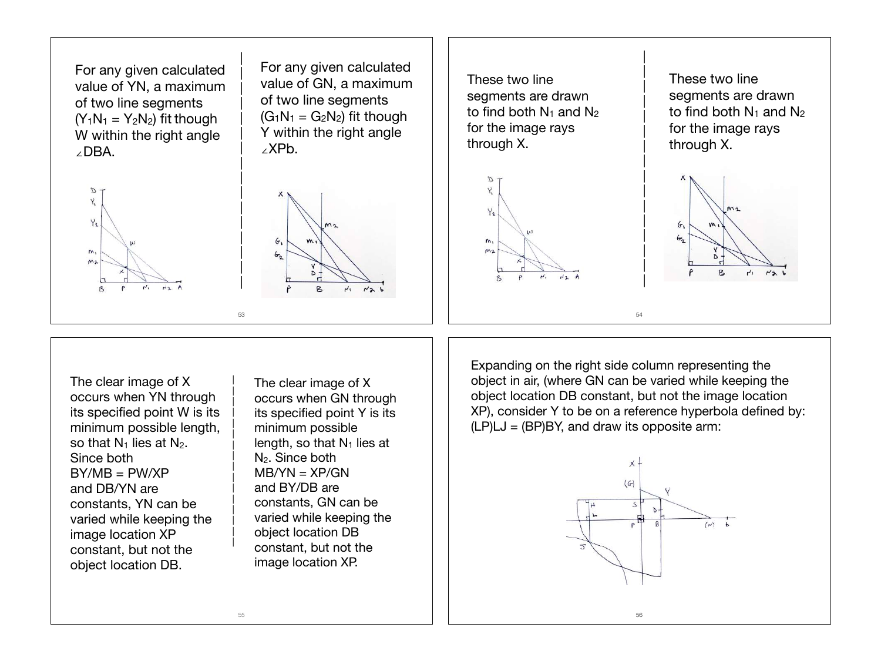

segments are drawn to find both  $N_1$  and  $N_2$ for the image rays



These two line segments are drawn to find both  $N_1$  and  $N_2$ for the image rays through X.



The clear image of X occurs when YN through its specified point W is its minimum possible length, so that  $N_1$  lies at  $N_2$ . Since both  $BY/MB = PW/XP$ and DB/YN are constants, YN can be varied while keeping the image location XP constant, but not the object location DB.

The clear image of X occurs when GN through its specified point Y is its minimum possible length, so that  $N_1$  lies at N2. Since both  $MB/YN = XP/GN$ and BY/DB are constants, GN can be varied while keeping the object location DB constant, but not the image location XP.

Expanding on the right side column representing the object in air, (where GN can be varied while keeping the object location DB constant, but not the image location XP), consider Y to be on a reference hyperbola defined by:  $(LP) LJ = (BP) BY$ , and draw its opposite arm:

54

| | | | | | | | | | | | | | | |



| |

| |

| |

| |